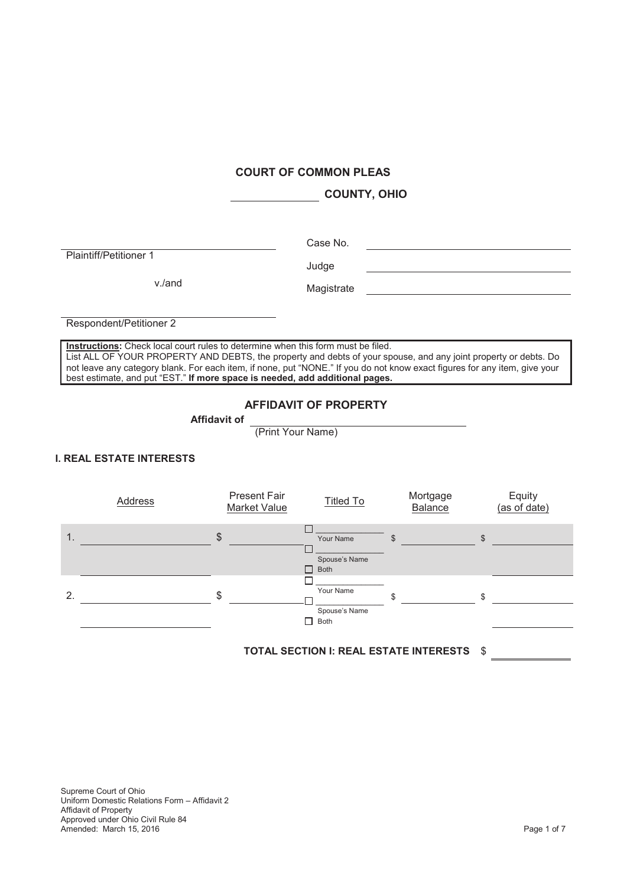## **COURT OF COMMON PLEAS**

**COUNTY, OHIO**

Plaintiff/Petitioner 1

Case No.

v./and Magistrate

Judge

Respondent/Petitioner 2

**Instructions:** Check local court rules to determine when this form must be filed. List ALL OF YOUR PROPERTY AND DEBTS, the property and debts of your spouse, and any joint property or debts. Do not leave any category blank. For each item, if none, put "NONE." If you do not know exact figures for any item, give your best estimate, and put "EST." **If more space is needed, add additional pages.**

### **AFFIDAVIT OF PROPERTY**

**Affidavit of**

(Print Your Name)

# **I. REAL ESTATE INTERESTS**

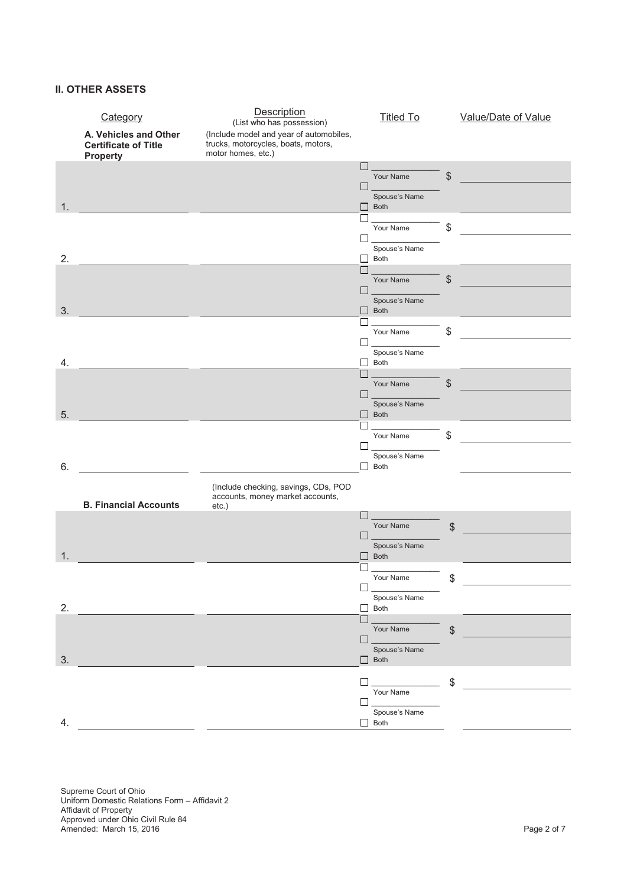# **II. OTHER ASSETS**

|    | Category<br>A. Vehicles and Other<br><b>Certificate of Title</b><br><b>Property</b> | Description<br>(List who has possession)<br>(Include model and year of automobiles,<br>trucks, motorcycles, boats, motors,<br>motor homes, etc.) |                                    | <b>Titled To</b>                          | Value/Date of Value |
|----|-------------------------------------------------------------------------------------|--------------------------------------------------------------------------------------------------------------------------------------------------|------------------------------------|-------------------------------------------|---------------------|
|    |                                                                                     |                                                                                                                                                  | $\mathbf{I}$<br>П                  | Your Name<br>Spouse's Name                | \$                  |
| 1. |                                                                                     |                                                                                                                                                  | Г<br>П                             | $\Box$ Both<br>Your Name<br>Spouse's Name | \$                  |
| 2. |                                                                                     |                                                                                                                                                  | П<br>П                             | $\Box$ Both<br>Your Name                  | \$                  |
| 3. |                                                                                     |                                                                                                                                                  |                                    | Spouse's Name<br>$\Box$ Both<br>Your Name | \$                  |
| 4. |                                                                                     |                                                                                                                                                  | $\mathsf{L}$<br>$\mathsf{L}$<br>L. | Spouse's Name<br>Both                     |                     |
| 5. |                                                                                     |                                                                                                                                                  |                                    | Your Name<br>Spouse's Name<br>$\Box$ Both | \$                  |
| 6. |                                                                                     |                                                                                                                                                  | $\mathsf{L}$                       | Your Name<br>Spouse's Name<br>$\Box$ Both | \$                  |
|    | <b>B. Financial Accounts</b>                                                        | (Include checking, savings, CDs, POD<br>accounts, money market accounts,<br>$etc.$ )                                                             |                                    |                                           |                     |
|    |                                                                                     |                                                                                                                                                  | $\mathbf{I}$<br>$\Box$             | Your Name<br>Spouse's Name                | \$                  |
| 1. |                                                                                     |                                                                                                                                                  | □<br>$\Box$                        | $\Box$ Both<br>Your Name                  | \$                  |
| 2. |                                                                                     |                                                                                                                                                  | $\Box$                             | Spouse's Name<br>$\Box$ Both<br>Your Name | \$                  |
| 3. |                                                                                     |                                                                                                                                                  | $\Box$                             | Spouse's Name<br>$\Box$ Both              |                     |
| 4. |                                                                                     |                                                                                                                                                  | П<br>$\Box$                        | Your Name<br>Spouse's Name<br>$\Box$ Both | \$                  |

Supreme Court of Ohio Uniform Domestic Relations Form – Affidavit 2 Affidavit of Property Approved under Ohio Civil Rule 84 Amended: March 15, 2016 Page 2 of 7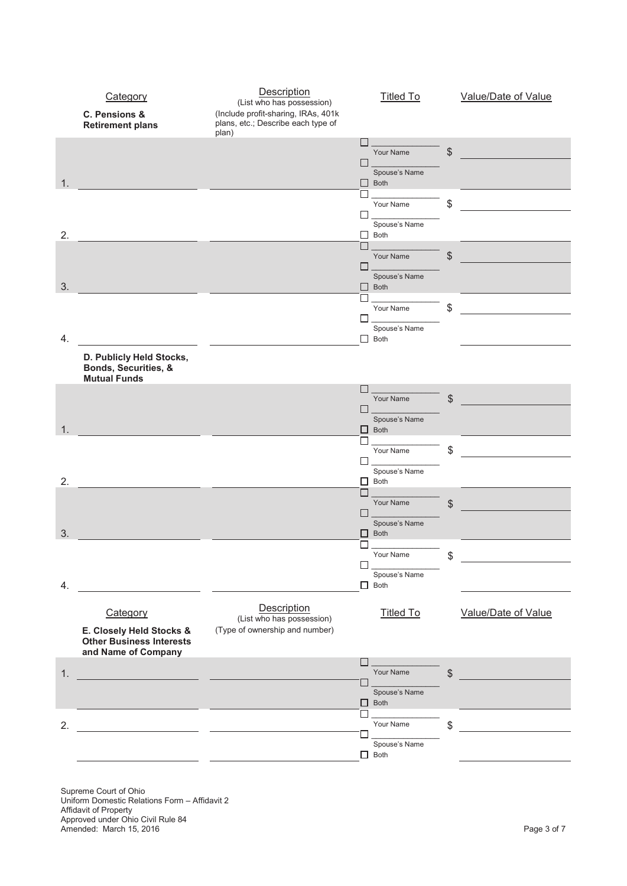

Supreme Court of Ohio Uniform Domestic Relations Form – Affidavit 2 Affidavit of Property Approved under Ohio Civil Rule 84 Amended: March 15, 2016 **Page 3 of 7** and 2016 **Page 3 of 7** and 2017 **Page 3 of 7** and 2018 **Page 3 of 7** and 2018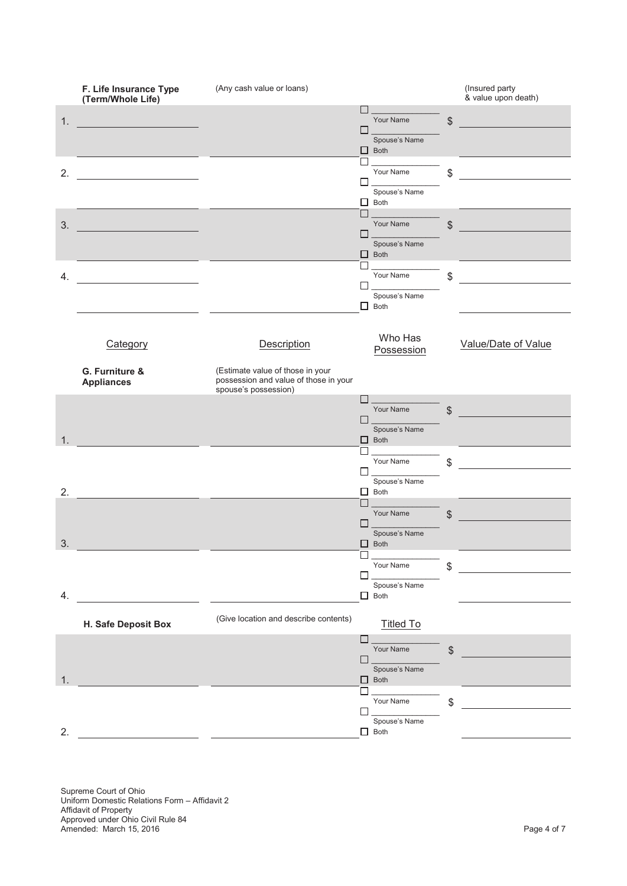

Supreme Court of Ohio Uniform Domestic Relations Form – Affidavit 2 Affidavit of Property Approved under Ohio Civil Rule 84 Amended: March 15, 2016 **Page 4 of 7** and 2016 **Page 4 of 7** and 2017 **Page 4 of 7** and 2018 **Page 4 of 7**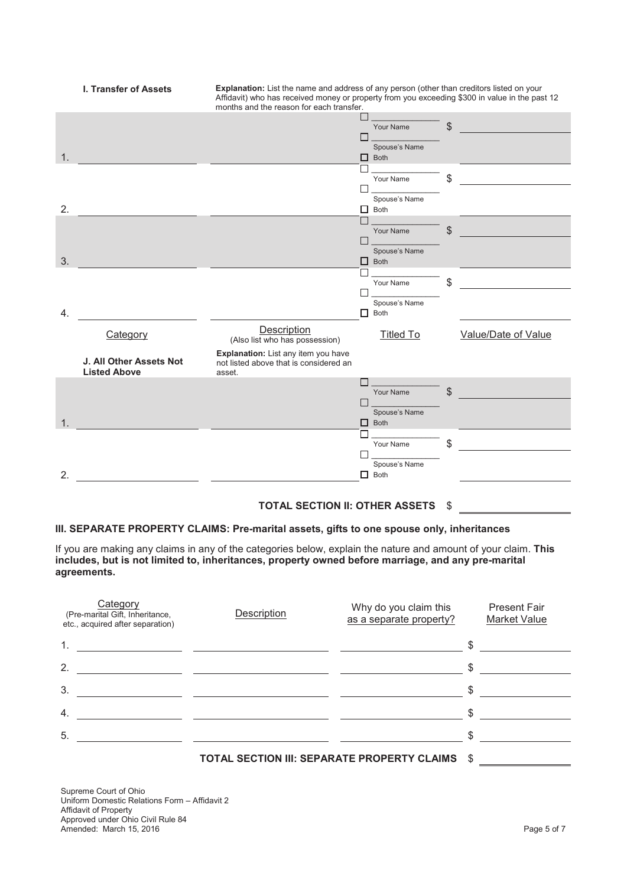

# **TOTAL SECTION II: OTHER ASSETS** \$

#### **III. SEPARATE PROPERTY CLAIMS: Pre-marital assets, gifts to one spouse only, inheritances**

If you are making any claims in any of the categories below, explain the nature and amount of your claim. **This includes, but is not limited to, inheritances, property owned before marriage, and any pre-marital agreements.**

| Category<br>(Pre-marital Gift, Inheritance,<br>etc., acquired after separation) | Description                                 | Why do you claim this<br>as a separate property? | <b>Present Fair</b><br><b>Market Value</b> |
|---------------------------------------------------------------------------------|---------------------------------------------|--------------------------------------------------|--------------------------------------------|
|                                                                                 |                                             |                                                  | \$                                         |
| 2.                                                                              |                                             |                                                  | \$                                         |
| 3.                                                                              |                                             |                                                  | \$                                         |
| 4.                                                                              |                                             |                                                  | \$                                         |
| 5.                                                                              |                                             |                                                  | \$                                         |
|                                                                                 | TOTAL SECTION III: SEPARATE PROPERTY CLAIMS |                                                  | \$                                         |

Supreme Court of Ohio Uniform Domestic Relations Form – Affidavit 2 Affidavit of Property Approved under Ohio Civil Rule 84 Amended: March 15, 2016 **Page 5 of 7** and 2016 **Page 5 of 7** and 2018 **Page 5 of 7** and 2018 **Page 5 of 7** and 2019 **Page 5 of 7** and 2019 **Page 5 of 7** and 2019 **Page 5 of 7** and 2019 **Page 4** and 2019 **Page 4** and 2019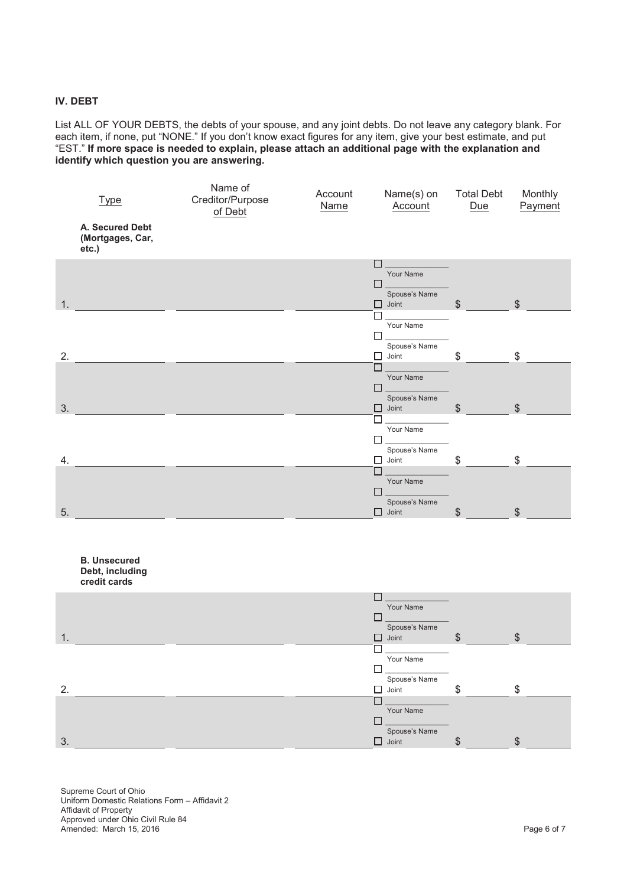### **IV. DEBT**

List ALL OF YOUR DEBTS, the debts of your spouse, and any joint debts. Do not leave any category blank. For each item, if none, put "NONE." If you don't know exact figures for any item, give your best estimate, and put "EST." **If more space is needed to explain, please attach an additional page with the explanation and identify which question you are answering.**

| <b>Type</b><br>A. Secured Debt<br>(Mortgages, Car, | Name of<br>Creditor/Purpose<br>of Debt | Account<br><b>Name</b> | Name(s) on<br>Account         | <b>Total Debt</b><br>Due | Monthly<br>Payment |
|----------------------------------------------------|----------------------------------------|------------------------|-------------------------------|--------------------------|--------------------|
| etc.)                                              |                                        |                        |                               |                          |                    |
|                                                    |                                        |                        | Your Name                     |                          |                    |
|                                                    |                                        |                        | $\Box$                        |                          |                    |
|                                                    |                                        |                        | Spouse's Name                 |                          |                    |
| 1.                                                 |                                        |                        | $\Box$ Joint                  | \$                       | $\mathcal{S}$      |
|                                                    |                                        |                        |                               |                          |                    |
|                                                    |                                        |                        | Your Name                     |                          |                    |
|                                                    |                                        |                        |                               |                          |                    |
| 2.                                                 |                                        |                        | Spouse's Name<br>□<br>Joint   | \$                       | \$                 |
|                                                    |                                        |                        | г                             |                          |                    |
|                                                    |                                        |                        | Your Name                     |                          |                    |
|                                                    |                                        |                        | П                             |                          |                    |
|                                                    |                                        |                        | Spouse's Name                 |                          |                    |
| 3.                                                 |                                        |                        | 0<br>Joint                    | \$                       | $\frac{1}{2}$      |
|                                                    |                                        |                        | Your Name                     |                          |                    |
|                                                    |                                        |                        |                               |                          |                    |
|                                                    |                                        |                        | Spouse's Name                 |                          |                    |
| 4.                                                 |                                        |                        | 0.<br>Joint                   | \$                       | $\mathbb{S}$       |
|                                                    |                                        |                        | Г                             |                          |                    |
|                                                    |                                        |                        | Your Name                     |                          |                    |
|                                                    |                                        |                        |                               |                          |                    |
| 5.                                                 |                                        |                        | Spouse's Name<br>$\Box$ Joint | \$                       | \$                 |

|                | <b>B.</b> Unsecured<br>Debt, including<br>credit cards |   |               |    |               |  |
|----------------|--------------------------------------------------------|---|---------------|----|---------------|--|
|                |                                                        |   | Your Name     |    |               |  |
|                |                                                        |   |               |    |               |  |
|                |                                                        |   | Spouse's Name |    |               |  |
| $\mathbf{1}$ . |                                                        | □ | Joint         | \$ | $\mathcal{S}$ |  |
|                |                                                        |   |               |    |               |  |
|                |                                                        |   | Your Name     |    |               |  |
|                |                                                        |   |               |    |               |  |
|                |                                                        |   | Spouse's Name |    |               |  |
| 2.             |                                                        | ⊓ | Joint         | \$ | \$            |  |
|                |                                                        |   |               |    |               |  |
|                |                                                        |   | Your Name     |    |               |  |
|                |                                                        |   |               |    |               |  |
|                |                                                        |   | Spouse's Name |    |               |  |
| 3.             |                                                        | П | Joint         | S  | S             |  |

Supreme Court of Ohio Uniform Domestic Relations Form – Affidavit 2 Affidavit of Property Approved under Ohio Civil Rule 84 Amended: March 15, 2016 **Page 6 of 7** and 2016 **Page 6 of 7** and 2018 **Page 6 of 7** and 2018 **Page 6 of 7** and 2019 **Page 6 of 7** and 2019 **Page 6 of 7** and 2019 **Page 6 of 7** and 2019 **Page 6 of 7** and 2019 **Page 6 of 7**